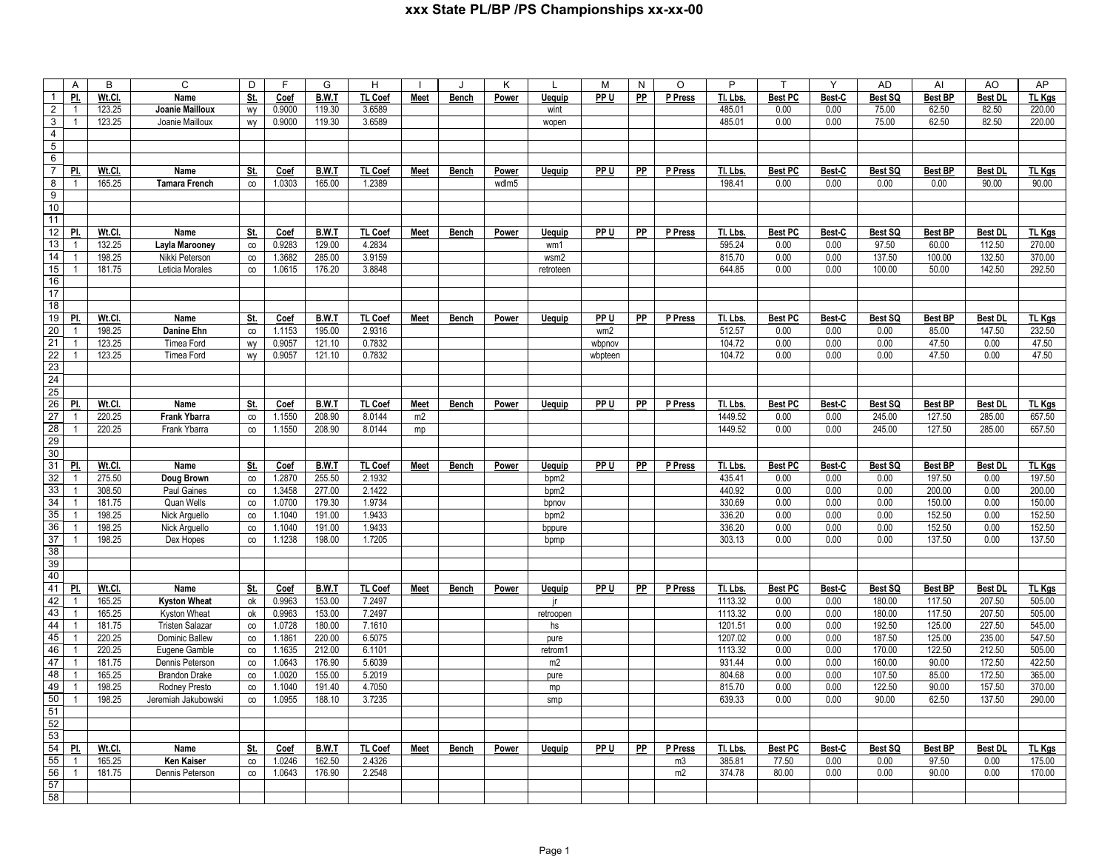|                       | Α                              | В                | C                                    | D                 | E                | G                | н                |             |              | Κ            |               | M               | N         | O              | P                |                        | Y              | <b>AD</b>        | Al             | AO                       | AP               |
|-----------------------|--------------------------------|------------------|--------------------------------------|-------------------|------------------|------------------|------------------|-------------|--------------|--------------|---------------|-----------------|-----------|----------------|------------------|------------------------|----------------|------------------|----------------|--------------------------|------------------|
| $\mathbf{1}$          | PI.                            | Wt.Cl.           | Name                                 | St.               | <b>Coef</b>      | <b>B.W.T</b>     | <b>TL Coef</b>   | <b>Meet</b> | <b>Bench</b> | Power        | <b>Uequip</b> | PP <sub>U</sub> | PP        | P Press        | Tl. Lbs          | <b>Best PC</b>         | Best-C         | Best SQ          | <b>Best BP</b> | <b>Best DI</b>           | <b>TL Kgs</b>    |
| $\overline{2}$        | $\overline{1}$                 | 123.25           | Joanie Mailloux                      | wy                | 0.9000           | 119.30           | 3.6589           |             |              |              | wint          |                 |           |                | 485.01           | 0.00                   | 0.00           | 75.00            | 62.50          | 82.50                    | 220.00           |
| 3                     | $\mathbf{1}$                   | 123.25           | Joanie Mailloux                      | wy                | 0.9000           | 119.30           | 3.6589           |             |              |              | wopen         |                 |           |                | 485.01           | 0.00                   | 0.00           | 75.00            | 62.50          | 82.50                    | 220.00           |
| $\overline{4}$        |                                |                  |                                      |                   |                  |                  |                  |             |              |              |               |                 |           |                |                  |                        |                |                  |                |                          |                  |
| $\overline{5}$        |                                |                  |                                      |                   |                  |                  |                  |             |              |              |               |                 |           |                |                  |                        |                |                  |                |                          |                  |
| 6                     |                                |                  |                                      |                   |                  |                  |                  |             |              |              |               |                 |           |                |                  |                        |                |                  |                |                          |                  |
| $\overline{7}$        | PI.                            | Wt.Cl.           | Name                                 | <u>St.</u>        | <b>Coef</b>      | B.W.T            | <b>TL Coef</b>   | Meet        | Bench        | Power        | Uequip        | PP U            | PP        | P Press        | Tl. Lbs.         | <b>Best PC</b>         | Best-C         | Best SQ          | <b>Best BP</b> | <b>Best DI</b>           | TL Kgs           |
| 8                     | $\overline{1}$                 | 165.25           | <b>Tamara French</b>                 | CO                | 1.0303           | 165.00           | 1.2389           |             |              | wdlm5        |               |                 |           |                | 198.41           | 0.00                   | 0.00           | 0.00             | 0.00           | 90.00                    | 90.00            |
| 9                     |                                |                  |                                      |                   |                  |                  |                  |             |              |              |               |                 |           |                |                  |                        |                |                  |                |                          |                  |
| 10                    |                                |                  |                                      |                   |                  |                  |                  |             |              |              |               |                 |           |                |                  |                        |                |                  |                |                          |                  |
| 11                    |                                |                  |                                      |                   |                  |                  |                  |             |              |              |               |                 |           |                |                  |                        |                |                  |                |                          |                  |
| 12                    | PI.                            | Wt.Cl.           | Name                                 | <u>St.</u>        | Coef             | <b>B.W.T</b>     | TL Coef          | Meet        | <b>Bench</b> | <b>Power</b> | <b>Uequip</b> | PP U            | PP        | P Press        | Tl. Lbs.         | <b>Best PC</b>         | Best-C         | Best SQ          | <b>Best BP</b> | <b>Best DL</b>           | <b>TL Kgs</b>    |
| 13                    | $\overline{1}$                 | 132.25           | Layla Marooney                       | $_{\rm CO}$       | 0.9283           | 129.00           | 4.2834           |             |              |              | wm1           |                 |           |                | 595.24           | 0.00                   | 0.00           | 97.50            | 60.00          | 112.50                   | 270.00           |
| $\overline{14}$       | $\overline{1}$                 | 198.25           | Nikki Peterson                       | co                | 1.3682           | 285.00           | 3.9159           |             |              |              | wsm2          |                 |           |                | 815.70           | 0.00                   | 0.00           | 137.50           | 100.00         | 132.50                   | 370.00           |
| 15                    | $\mathbf{1}$                   | 181.75           | Leticia Morales                      | $_{\rm CO}$       | 1.0615           | 176.20           | 3.8848           |             |              |              | retroteen     |                 |           |                | 644.85           | 0.00                   | 0.00           | 100.00           | 50.00          | 142.50                   | 292.50           |
| 16<br>17              |                                |                  |                                      |                   |                  |                  |                  |             |              |              |               |                 |           |                |                  |                        |                |                  |                |                          |                  |
|                       |                                |                  |                                      |                   |                  |                  |                  |             |              |              |               |                 |           |                |                  |                        |                |                  |                |                          |                  |
| 18                    | PI.                            | Wt.Cl.           |                                      |                   |                  | B.W.T            | <b>TL Coef</b>   |             |              |              |               |                 |           | P Press        | Tl. Lbs.         |                        |                | Best SQ          | <b>Best BP</b> |                          | TL Kgs           |
| 19<br>$\overline{20}$ | $\mathbf{1}$                   | 198.25           | Name                                 | <u>St.</u>        | Coef<br>1.1153   | 195.00           | 2.9316           | Meet        | Bench        | Power        | Uequip        | PP U            | PP        |                | 512.57           | <b>Best PC</b><br>0.00 | Best-C<br>0.00 | 0.00             | 85.00          | <b>Best DL</b><br>147.50 | 232.50           |
| 21                    | $\overline{1}$                 | 123.25           | <b>Danine Ehn</b><br>Timea Ford      | $_{\rm CO}$<br>wy | 0.9057           | 121.10           | 0.7832           |             |              |              |               | wm2<br>wbpnov   |           |                | 104.72           | 0.00                   | 0.00           | 0.00             | 47.50          | 0.00                     | 47.50            |
| 22                    | $\mathbf{1}$                   | 123.25           | Timea Ford                           | wy                | 0.9057           | 121.10           | 0.7832           |             |              |              |               | wbpteen         |           |                | 104.72           | 0.00                   | 0.00           | 0.00             | 47.50          | 0.00                     | 47.50            |
| 23                    |                                |                  |                                      |                   |                  |                  |                  |             |              |              |               |                 |           |                |                  |                        |                |                  |                |                          |                  |
| 24                    |                                |                  |                                      |                   |                  |                  |                  |             |              |              |               |                 |           |                |                  |                        |                |                  |                |                          |                  |
| 25                    |                                |                  |                                      |                   |                  |                  |                  |             |              |              |               |                 |           |                |                  |                        |                |                  |                |                          |                  |
| 26                    | PI.                            | Wt.Cl.           | Name                                 | St.               | Coef             | <b>B.W.T</b>     | <b>TL Coef</b>   | <b>Meet</b> | <b>Bench</b> | Power        | <b>Uequip</b> | PP U            | PP        | P Press        | Tl. Lbs.         | <b>Best PC</b>         | Best-C         | Best SQ          | <b>Best BP</b> | <b>Best DL</b>           | <b>TL Kgs</b>    |
| 27                    | $\overline{1}$                 | 220.25           | <b>Frank Ybarra</b>                  | co                | 1.1550           | 208.90           | 8.0144           | m2          |              |              |               |                 |           |                | 1449.52          | 0.00                   | 0.00           | 245.00           | 127.50         | 285.00                   | 657.50           |
| 28                    | $\mathbf{1}$                   | 220.25           | Frank Ybarra                         | co                | 1.1550           | 208.90           | 8.0144           | mp          |              |              |               |                 |           |                | 1449.52          | 0.00                   | 0.00           | 245.00           | 127.50         | 285.00                   | 657.50           |
| 29                    |                                |                  |                                      |                   |                  |                  |                  |             |              |              |               |                 |           |                |                  |                        |                |                  |                |                          |                  |
| 30                    |                                |                  |                                      |                   |                  |                  |                  |             |              |              |               |                 |           |                |                  |                        |                |                  |                |                          |                  |
| 31                    | PI.                            | Wt.Cl.           | Name                                 | St.               | Coef             | B.W.T            | <b>TL Coef</b>   | Meet        | Bench        | Power        | Uequip        | PP U            | PP        | P Press        | Tl. Lbs.         | <b>Best PC</b>         | Best-C         | Best SQ          | <b>Best BP</b> | <b>Best DL</b>           | TL Kgs           |
| 32                    | $\overline{1}$                 | 275.50           | Doug Brown                           | $_{\rm CO}$       | 1.2870           | 255.50           | 2.1932           |             |              |              | bpm2          |                 |           |                | 435.41           | 0.00                   | 0.00           | 0.00             | 197.50         | 0.00                     | 197.50           |
| 33                    | $\mathbf{1}$                   | 308.50           | Paul Gaines                          | co                | 1.3458           | 277.00           | 2.1422           |             |              |              | bpm2          |                 |           |                | 440.92           | 0.00                   | 0.00           | 0.00             | 200.00         | 0.00                     | 200.00           |
| $\overline{34}$       | $\mathbf{1}$                   | 181.75           | Quan Wells                           | co                | 1.0700           | 179.30           | 1.9734           |             |              |              | bpnov         |                 |           |                | 330.69           | 0.00                   | 0.00           | 0.00             | 150.00         | 0.00                     | 150.00           |
| 35                    | $\overline{1}$                 | 198.25           | Nick Arguello                        | co                | 1.1040           | 191.00           | 1.9433           |             |              |              | bpm2          |                 |           |                | 336.20           | 0.00                   | 0.00           | 0.00             | 152.50         | 0.00                     | 152.50           |
| 36                    | $\mathbf{1}$                   | 198.25           | Nick Arguello                        | co                | 1.1040           | 191.00           | 1.9433           |             |              |              | bppure        |                 |           |                | 336.20           | 0.00                   | 0.00           | 0.00             | 152.50         | 0.00                     | 152.50           |
| $\overline{37}$       | $\overline{1}$                 | 198.25           | Dex Hopes                            | CO                | 1.1238           | 198.00           | 1.7205           |             |              |              | bpmp          |                 |           |                | 303.13           | 0.00                   | 0.00           | 0.00             | 137.50         | 0.00                     | 137.50           |
| 38                    |                                |                  |                                      |                   |                  |                  |                  |             |              |              |               |                 |           |                |                  |                        |                |                  |                |                          |                  |
| 39                    |                                |                  |                                      |                   |                  |                  |                  |             |              |              |               |                 |           |                |                  |                        |                |                  |                |                          |                  |
| 40                    |                                |                  |                                      |                   |                  |                  |                  |             |              |              |               |                 |           |                |                  |                        |                |                  |                |                          |                  |
| 41                    | PI.                            | Wt.Cl.           | <b>Name</b>                          | St.               | Coef             | B.W.T            | TL Coef          | Meet        | Bench        | Power        | <b>Uequip</b> | PP U            | <b>PP</b> | P Press        | Tl. Lbs.         | <b>Best PC</b>         | Best-C         | Best SQ          | <b>Best BP</b> | <b>Best DL</b>           | TL Kgs           |
| 42                    | $\mathbf{1}$                   | 165.25           | <b>Kyston Wheat</b>                  | ok                | 0.9963           | 153.00           | 7.2497           |             |              |              | ir            |                 |           |                | 1113.32          | 0.00                   | 0.00           | 180.00           | 117.50         | 207.50                   | 505.00           |
| 43                    | $\overline{1}$                 | 165.25           | Kyston Wheat                         | оk                | 0.9963           | 153.00           | 7.2497           |             |              |              | retroopen     |                 |           |                | 1113.32          | 0.00                   | 0.00           | 180.00           | 117.50         | 207.50                   | 505.00           |
| 44                    | $\mathbf{1}$                   | 181.75           | <b>Tristen Salazar</b>               | $_{\rm CO}$       | 1.0728           | 180.00           | 7.1610           |             |              |              | hs            |                 |           |                | 1201.51          | 0.00                   | 0.00           | 192.50           | 125.00         | 227.50                   | 545.00           |
| 45                    | $\overline{1}$                 | 220.25           | Dominic Ballew                       | co                | 1.1861           | 220.00           | 6.5075           |             |              |              | pure          |                 |           |                | 1207.02          | 0.00                   | 0.00           | 187.50           | 125.00         | 235.00                   | 547.50           |
| 46<br>47              | $\overline{1}$<br>$\mathbf{1}$ | 220.25           | Eugene Gamble                        | $_{\rm co}$       | 1.1635           | 212.00           | 6.1101           |             |              |              | retrom1       |                 |           |                | 1113.32          | 0.00                   | 0.00           | 170.00           | 122.50         | 212.50                   | 505.00           |
| 48                    | $\overline{1}$                 | 181.75           | Dennis Peterson                      | $_{\rm CO}$       | 1.0643           | 176.90           | 5.6039           |             |              |              | m2            |                 |           |                | 931.44           | 0.00                   | 0.00           | 160.00           | 90.00          | 172.50                   | 422.50           |
| 49                    | $\overline{1}$                 | 165.25<br>198.25 | <b>Brandon Drake</b>                 | $_{\rm CO}$       | 1.0020<br>1.1040 | 155.00<br>191.40 | 5.2019<br>4.7050 |             |              |              | pure          |                 |           |                | 804.68<br>815.70 | 0.00<br>0.00           | 0.00<br>0.00   | 107.50<br>122.50 | 85.00<br>90.00 | 172.50<br>157.50         | 365.00<br>370.00 |
| 50                    | $\mathbf{1}$                   | 198.25           | Rodney Presto<br>Jeremiah Jakubowski | co<br>co          | 1.0955           | 188.10           | 3.7235           |             |              |              | mp            |                 |           |                | 639.33           | 0.00                   | 0.00           | 90.00            | 62.50          | 137.50                   | 290.00           |
| 51                    |                                |                  |                                      |                   |                  |                  |                  |             |              |              | smp           |                 |           |                |                  |                        |                |                  |                |                          |                  |
|                       |                                |                  |                                      |                   |                  |                  |                  |             |              |              |               |                 |           |                |                  |                        |                |                  |                |                          |                  |
| $\frac{52}{53}$       |                                |                  |                                      |                   |                  |                  |                  |             |              |              |               |                 |           |                |                  |                        |                |                  |                |                          |                  |
| 54                    | PI.                            | Wt.Cl.           | Name                                 | St.               | Coef             | <b>B.W.T</b>     | <b>TL Coef</b>   | <b>Meet</b> | <b>Bench</b> | <b>Power</b> | <b>Uequip</b> | PP U            | PP        | P Press        | Tl. Lbs          | <b>Best PC</b>         | Best-C         | Best SQ          | <b>Best BP</b> | <b>Best DL</b>           | TL Kgs           |
| 55                    | $\mathbf{1}$                   | 165.25           | <b>Ken Kaiser</b>                    | co                | 1.0246           | 162.50           | 2.4326           |             |              |              |               |                 |           | m <sub>3</sub> | 385.81           | 77.50                  | 0.00           | 0.00             | 97.50          | 0.00                     | 175.00           |
| 56                    | $\overline{1}$                 | 181.75           | Dennis Peterson                      | CO                | 1.0643           | 176.90           | 2.2548           |             |              |              |               |                 |           | m2             | 374.78           | 80.00                  | 0.00           | 0.00             | 90.00          | 0.00                     | 170.00           |
| 57                    |                                |                  |                                      |                   |                  |                  |                  |             |              |              |               |                 |           |                |                  |                        |                |                  |                |                          |                  |
| 58                    |                                |                  |                                      |                   |                  |                  |                  |             |              |              |               |                 |           |                |                  |                        |                |                  |                |                          |                  |
|                       |                                |                  |                                      |                   |                  |                  |                  |             |              |              |               |                 |           |                |                  |                        |                |                  |                |                          |                  |